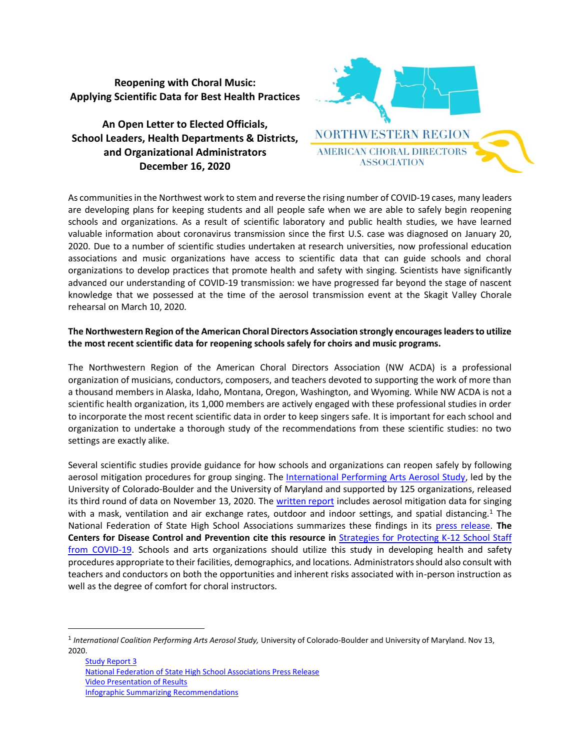**Reopening with Choral Music: Applying Scientific Data for Best Health Practices** 

**An Open Letter to Elected Officials, School Leaders, Health Departments & Districts, and Organizational Administrators December 16, 2020**



As communities in the Northwest work to stem and reverse the rising number of COVID-19 cases, many leaders are developing plans for keeping students and all people safe when we are able to safely begin reopening schools and organizations. As a result of scientific laboratory and public health studies, we have learned valuable information about coronavirus transmission since the first U.S. case was diagnosed on January 20, 2020. Due to a number of scientific studies undertaken at research universities, now professional education associations and music organizations have access to scientific data that can guide schools and choral organizations to develop practices that promote health and safety with singing. Scientists have significantly advanced our understanding of COVID-19 transmission: we have progressed far beyond the stage of nascent knowledge that we possessed at the time of the aerosol transmission event at the Skagit Valley Chorale rehearsal on March 10, 2020.

## **The Northwestern Region of the American Choral Directors Association strongly encourages leaders to utilize the most recent scientific data for reopening schools safely for choirs and music programs.**

The Northwestern Region of the American Choral Directors Association (NW ACDA) is a professional organization of musicians, conductors, composers, and teachers devoted to supporting the work of more than a thousand members in Alaska, Idaho, Montana, Oregon, Washington, and Wyoming. While NW ACDA is not a scientific health organization, its 1,000 members are actively engaged with these professional studies in order to incorporate the most recent scientific data in order to keep singers safe. It is important for each school and organization to undertake a thorough study of the recommendations from these scientific studies: no two settings are exactly alike.

Several scientific studies provide guidance for how schools and organizations can reopen safely by following aerosol mitigation procedures for group singing. The [International Performing Arts Aerosol Study,](https://www.nfhs.org/articles/unprecedented-international-coalition-led-by-performing-arts-organizations-to-commission-covid-19-study/) led by the University of Colorado-Boulder and the University of Maryland and supported by 125 organizations, released its third round of data on November 13, 2020. Th[e written report](https://www.nfhs.org/media/4294910/third-aerosol-report.pdf) includes aerosol mitigation data for singing with a mask, ventilation and air exchange rates, outdoor and indoor settings, and spatial distancing.<sup>1</sup> The National Federation of State High School Associations summarizes these findings in its [press release.](/Users/westerhaus/Library/Containers/com.apple.mail/Data/Library/Mail%20Downloads/F9EEA97C-DF8B-4C91-A083-F0E74484DEE8/aerosol%20mitigation) **The Centers for Disease Control and Prevention cite this resource in** [Strategies for Protecting K-12 School Staff](https://www.cdc.gov/coronavirus/2019-ncov/community/schools-childcare/k-12-staff.html#music-choir-arts)  [from COVID-19.](https://www.cdc.gov/coronavirus/2019-ncov/community/schools-childcare/k-12-staff.html#music-choir-arts) Schools and arts organizations should utilize this study in developing health and safety procedures appropriate to their facilities, demographics, and locations. Administrators should also consult with teachers and conductors on both the opportunities and inherent risks associated with in-person instruction as well as the degree of comfort for choral instructors.

<sup>1</sup> *International Coalition Performing Arts Aerosol Study,* University of Colorado-Boulder and University of Maryland. Nov 13, 2020.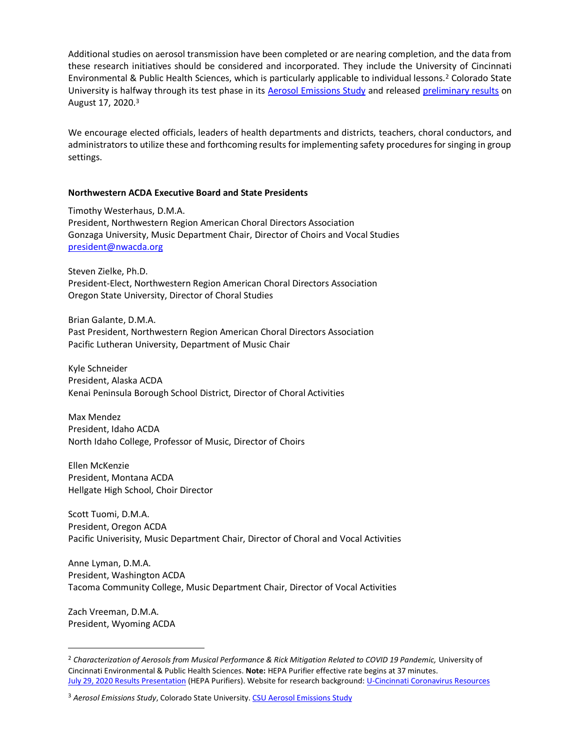Additional studies on aerosol transmission have been completed or are nearing completion, and the data from these research initiatives should be considered and incorporated. They include the University of Cincinnati Environmental & Public Health Sciences, which is particularly applicable to individual lessons.<sup>2</sup> Colorado State University is halfway through its test phase in its [Aerosol Emissions Study](https://smtd.colostate.edu/reducing-bioaerosol-emissions-and-exposures-in-the-performing-arts/) and released [preliminary results](https://smtd.colostate.edu/reducing-bioaerosol-emissions-and-exposures-in-the-performing-arts/) on August 17, 2020.<sup>3</sup>

We encourage elected officials, leaders of health departments and districts, teachers, choral conductors, and administrators to utilize these and forthcoming results for implementing safety procedures for singing in group settings.

## **Northwestern ACDA Executive Board and State Presidents**

Timothy Westerhaus, D.M.A. President, Northwestern Region American Choral Directors Association Gonzaga University, Music Department Chair, Director of Choirs and Vocal Studies [president@nwacda.org](mailto:president@nwacda.org)

Steven Zielke, Ph.D. President-Elect, Northwestern Region American Choral Directors Association Oregon State University, Director of Choral Studies

Brian Galante, D.M.A. Past President, Northwestern Region American Choral Directors Association Pacific Lutheran University, Department of Music Chair

Kyle Schneider President, Alaska ACDA Kenai Peninsula Borough School District, Director of Choral Activities

Max Mendez President, Idaho ACDA North Idaho College, Professor of Music, Director of Choirs

Ellen McKenzie President, Montana ACDA Hellgate High School, Choir Director

Scott Tuomi, D.M.A. President, Oregon ACDA Pacific Univerisity, Music Department Chair, Director of Choral and Vocal Activities

Anne Lyman, D.M.A. President, Washington ACDA Tacoma Community College, Music Department Chair, Director of Vocal Activities

Zach Vreeman, D.M.A. President, Wyoming ACDA

<sup>&</sup>lt;sup>2</sup> Characterization of Aerosols from Musical Performance & Rick Mitigation Related to COVID 19 Pandemic, University of Cincinnati Environmental & Public Health Sciences. **Note:** HEPA Purifier effective rate begins at 37 minutes. [July 29, 2020 Results Presentation](https://youtu.be/UDtV1x95KEU?t=2216) (HEPA Purifiers). Website for research background[: U-Cincinnati Coronavirus Resources](https://med2.uc.edu/eh/centers/erc/coronavirus-and-workplace-safety)

<sup>&</sup>lt;sup>3</sup> Aerosol Emissions Study, Colorado State University[. CSU Aerosol Emissions Study](https://smtd.colostate.edu/reducing-bioaerosol-emissions-and-exposures-in-the-performing-arts/)